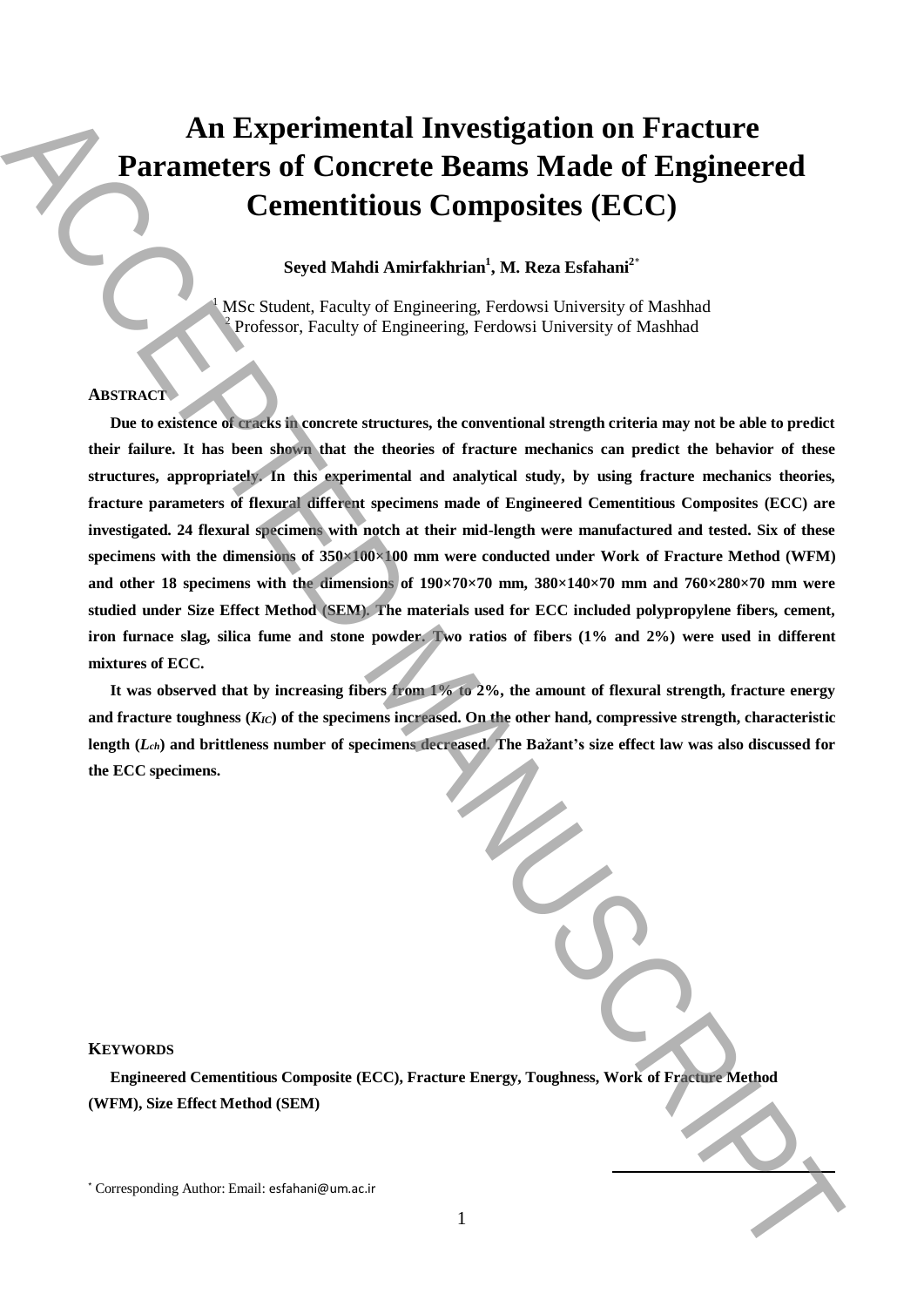# **An Experimental Investigation on Fracture Parameters of Concrete Beams Made of Engineered Cementitious Composites (ECC)**

**Seyed Mahdi Amirfakhrian<sup>1</sup> , M. Reza Esfahani<sup>2</sup>**\*

<sup>1</sup> MSc Student, Faculty of Engineering, Ferdowsi University of Mashhad <sup>2</sup> Professor, Faculty of Engineering, Ferdowsi University of Mashhad

## **ABSTRACT**

**Due to existence of cracks in concrete structures, the conventional strength criteria may not be able to predict their failure. It has been shown that the theories of fracture mechanics can predict the behavior of these structures, appropriately. In this experimental and analytical study, by using fracture mechanics theories, fracture parameters of flexural different specimens made of Engineered Cementitious Composites (ECC) are investigated. 24 flexural specimens with notch at their mid-length were manufactured and tested. Six of these specimens with the dimensions of 350×100×100 mm were conducted under Work of Fracture Method (WFM) and other 18 specimens with the dimensions of 190×70×70 mm, 380×140×70 mm and 760×280×70 mm were studied under Size Effect Method (SEM). The materials used for ECC included polypropylene fibers, cement, iron furnace slag, silica fume and stone powder. Two ratios of fibers (1% and 2%) were used in different mixtures of ECC. An Experimental Investigation on Fracture**<br> **Correcte Beams Made of Engineered**<br> **Correcte Correcte Beams Made of Engineered**<br>
Strokes a Manuscriation 3.1. Reas a complete the correcte interaction of the<br>structure of the

**It was observed that by increasing fibers from 1% to 2%, the amount of flexural strength, fracture energy and fracture toughness (***KIC***) of the specimens increased. On the other hand, compressive strength, characteristic length (***Lch***) and brittleness number of specimens decreased. The Bažant's size effect law was also discussed for the ECC specimens.**

#### **KEYWORDS**

**Engineered Cementitious Composite (ECC), Fracture Energy, Toughness, Work of Fracture Method (WFM), Size Effect Method (SEM)**

**.**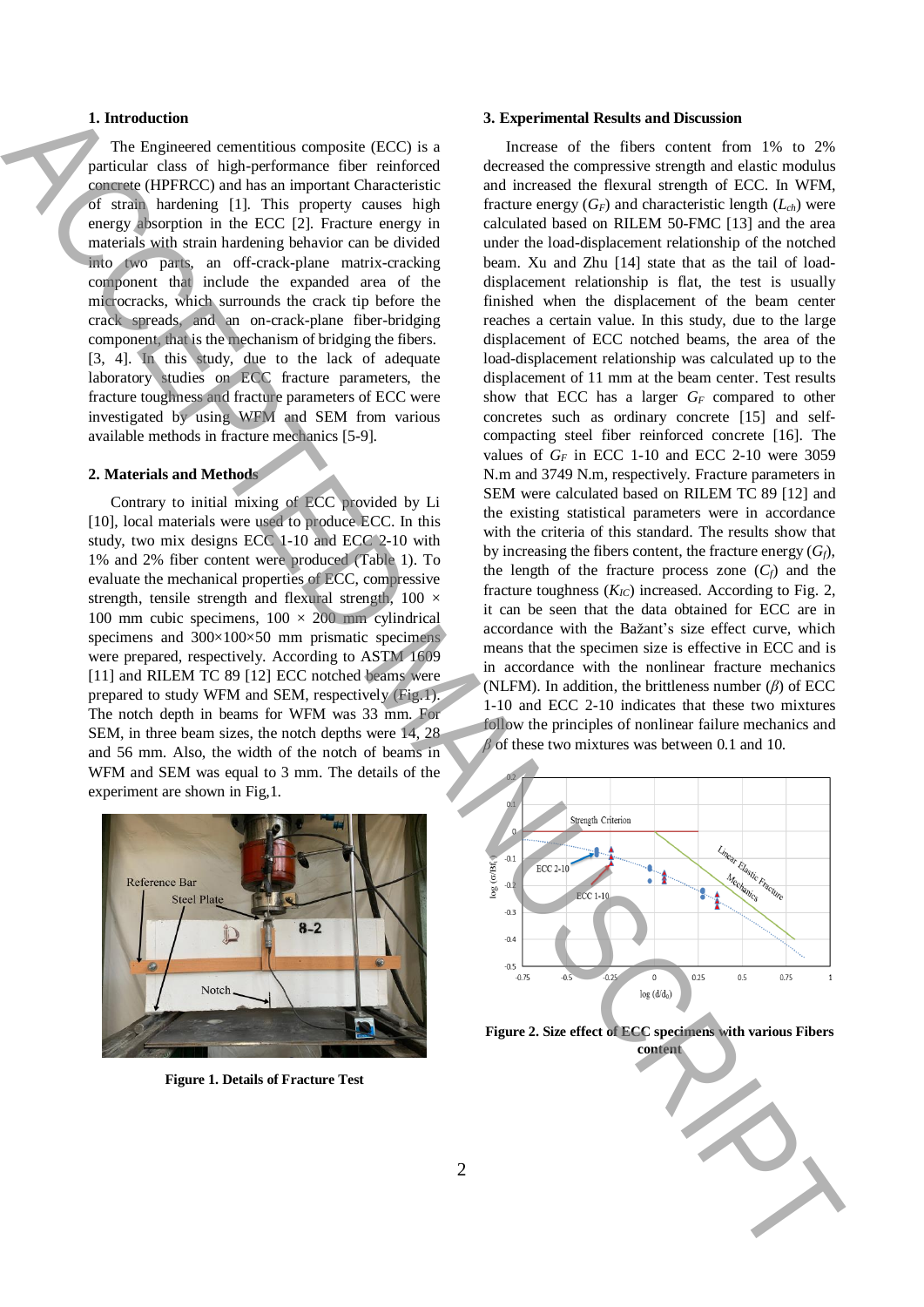# **1. Introduction**

The Engineered cementitious composite (ECC) is a particular class of high-performance fiber reinforced concrete (HPFRCC) and has an important Characteristic of strain hardening [1]. This property causes high energy absorption in the ECC [2]. Fracture energy in materials with strain hardening behavior can be divided into two parts, an off-crack-plane matrix-cracking component that include the expanded area of the microcracks, which surrounds the crack tip before the crack spreads, and an on-crack-plane fiber-bridging component, that is the mechanism of bridging the fibers. [3, 4]. In this study, due to the lack of adequate laboratory studies on ECC fracture parameters, the fracture toughness and fracture parameters of ECC were investigated by using WFM and SEM from various available methods in fracture mechanics [5-9].

### **2. Materials and Methods**

Contrary to initial mixing of ECC provided by Li [10], local materials were used to produce ECC. In this study, two mix designs ECC 1-10 and ECC 2-10 with 1% and 2% fiber content were produced (Table 1). To evaluate the mechanical properties of ECC, compressive strength, tensile strength and flexural strength,  $100 \times$ 100 mm cubic specimens,  $100 \times 200$  mm cylindrical specimens and 300×100×50 mm prismatic specimens were prepared, respectively. According to ASTM 1609 [11] and RILEM TC 89 [12] ECC notched beams were prepared to study WFM and SEM, respectively (Fig.1). The notch depth in beams for WFM was 33 mm. For SEM, in three beam sizes, the notch depths were 14, 28 and 56 mm. Also, the width of the notch of beams in WFM and SEM was equal to 3 mm. The details of the experiment are shown in Fig,1.



**Figure 1. Details of Fracture Test**

### **3. Experimental Results and Discussion**

Increase of the fibers content from 1% to 2% decreased the compressive strength and elastic modulus and increased the flexural strength of ECC. In WFM, fracture energy  $(G_F)$  and characteristic length  $(L_{ch})$  were calculated based on RILEM 50-FMC [13] and the area under the load-displacement relationship of the notched beam. Xu and Zhu [14] state that as the tail of loaddisplacement relationship is flat, the test is usually finished when the displacement of the beam center reaches a certain value. In this study, due to the large displacement of ECC notched beams, the area of the load-displacement relationship was calculated up to the displacement of 11 mm at the beam center. Test results show that ECC has a larger *G<sup>F</sup>* compared to other concretes such as ordinary concrete [15] and selfcompacting steel fiber reinforced concrete [16]. The values of  $G_F$  in ECC 1-10 and ECC 2-10 were 3059 N.m and 3749 N.m, respectively. Fracture parameters in SEM were calculated based on RILEM TC 89 [12] and the existing statistical parameters were in accordance with the criteria of this standard. The results show that by increasing the fibers content, the fracture energy  $(G_f)$ , the length of the fracture process zone  $(C_f)$  and the fracture toughness  $(K_{IC})$  increased. According to Fig. 2, it can be seen that the data obtained for ECC are in accordance with the Bažant's size effect curve, which means that the specimen size is effective in ECC and is in accordance with the nonlinear fracture mechanics (NLFM). In addition, the brittleness number (*β*) of ECC 1-10 and ECC 2-10 indicates that these two mixtures follow the principles of nonlinear failure mechanics and *β* of these two mixtures was between 0.1 and 10. **1.** International content and the signal of the signal of the signal of the signal of the signal of the signal of the signal of the signal of the signal of the signal of the signal of the signal of the signal of the sign